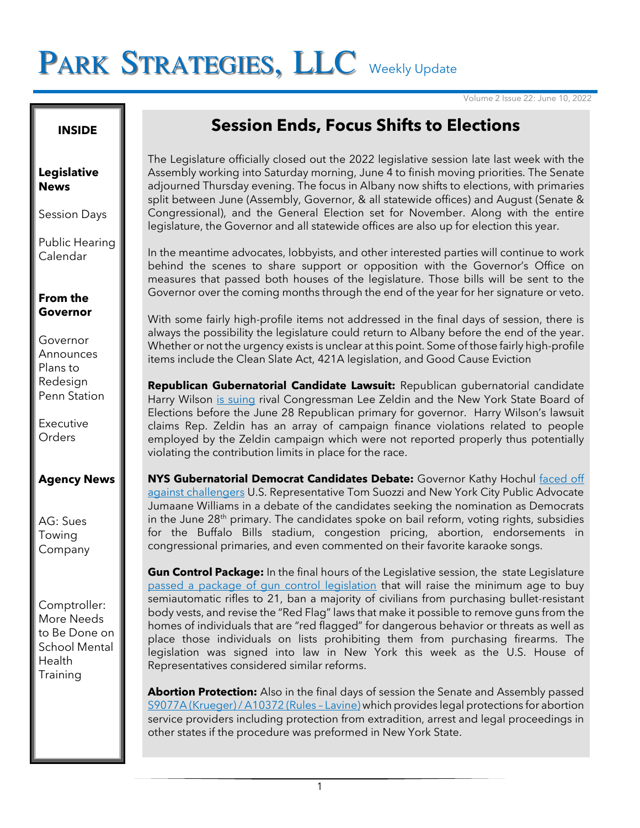# PARK STRATEGIES, LLC Weekly Update

Volume 2 Issue 22: June 10, 2022

**INSIDE**

#### **Legislative News**

Session Days

Public Hearing Calendar

#### **From the Governor**

Governor **Announces** Plans to Redesign Penn Station

Executive **Orders** 

### **Agency News**

AG: Sues Towing Company

Comptroller: More Needs to Be Done on School Mental Health **Training** 

# **Session Ends, Focus Shifts to Elections**

The Legislature officially closed out the 2022 legislative session late last week with the Assembly working into Saturday morning, June 4 to finish moving priorities. The Senate adjourned Thursday evening. The focus in Albany now shifts to elections, with primaries split between June (Assembly, Governor, & all statewide offices) and August (Senate & Congressional), and the General Election set for November. Along with the entire legislature, the Governor and all statewide offices are also up for election this year.

In the meantime advocates, lobbyists, and other interested parties will continue to work behind the scenes to share support or opposition with the Governor's Office on measures that passed both houses of the legislature. Those bills will be sent to the Governor over the coming months through the end of the year for her signature or veto.

With some fairly high-profile items not addressed in the final days of session, there is always the possibility the legislature could return to Albany before the end of the year. Whether or not the urgency exists is unclear at this point. Some of those fairly high-profile items include the Clean Slate Act, 421A legislation, and Good Cause Eviction

**Republican Gubernatorial Candidate Lawsuit:** Republican gubernatorial candidate Harry Wilson [is suing](https://nypost.com/2022/06/09/harry-wilson-sues-lee-zeldin-over-campaign-cash-ahead-of-primary/) rival Congressman Lee Zeldin and the New York State Board of Elections before the June 28 Republican primary for governor. Harry Wilson's lawsuit claims Rep. Zeldin has an array of campaign finance violations related to people employed by the Zeldin campaign which were not reported properly thus potentially violating the contribution limits in place for the race.

**NYS Gubernatorial Democrat Candidates Debate:** Governor Kathy Hochul [faced off](https://nypost.com/2022/06/07/ny-governor-debate-live-updates-hochul-democrats-face-off/)  [against challengers](https://nypost.com/2022/06/07/ny-governor-debate-live-updates-hochul-democrats-face-off/) U.S. Representative Tom Suozzi and New York City Public Advocate Jumaane Williams in a debate of the candidates seeking the nomination as Democrats in the June 28<sup>th</sup> primary. The candidates spoke on bail reform, voting rights, subsidies for the Buffalo Bills stadium, congestion pricing, abortion, endorsements in congressional primaries, and even commented on their favorite karaoke songs.

**Gun Control Package:** In the final hours of the Legislative session, the state Legislature [passed a package of gun control legislation](https://www.nytimes.com/2022/06/02/nyregion/guns-abortion-laws-ny.html) that will raise the minimum age to buy semiautomatic rifles to 21, ban a majority of civilians from purchasing bullet-resistant body vests, and revise the "Red Flag" laws that make it possible to remove guns from the homes of individuals that are "red flagged" for dangerous behavior or threats as well as place those individuals on lists prohibiting them from purchasing firearms. The legislation was signed into law in New York this week as the U.S. House of Representatives considered similar reforms.

**Abortion Protection:** Also in the final days of session the Senate and Assembly passed [S9077A \(Krueger\) / A10372 \(Rules](https://www.nysenate.gov/legislation/bills/2021/s9077/amendment/a) – Lavine) which provides legal protections for abortion service providers including protection from extradition, arrest and legal proceedings in other states if the procedure was preformed in New York State.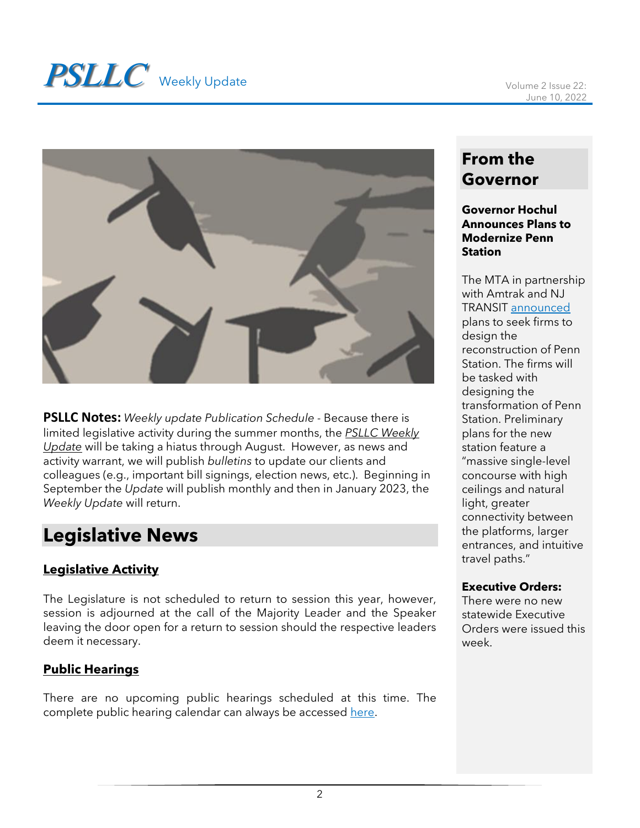

**PSLLC Notes:** *Weekly update Publication Schedule -* Because there is limited legislative activity during the summer months, the *PSLLC Weekly Update* will be taking a hiatus through August. However, as news and activity warrant, we will publish *bulletins* to update our clients and colleagues (e.g., important bill signings, election news, etc.). Beginning in September the *Update* will publish monthly and then in January 2023, the *Weekly Update* will return.

# **Legislative News**

### **Legislative Activity**

The Legislature is not scheduled to return to session this year, however, session is adjourned at the call of the Majority Leader and the Speaker leaving the door open for a return to session should the respective leaders deem it necessary.

### **Public Hearings**

There are no upcoming public hearings scheduled at this time. The complete public hearing calendar can always be accessed [here.](https://www.nyassembly.gov/leg/?sh=hear)

# **From the Governor**

#### **Governor Hochul Announces Plans to Modernize Penn Station**

The MTA in partnership with Amtrak and NJ TRANSIT [announced](https://www.governor.ny.gov/news/governor-hochul-and-governor-murphy-announce-major-step-toward-modernization-penn-station) plans to seek firms to design the reconstruction of Penn Station. The firms will be tasked with designing the transformation of Penn Station. Preliminary plans for the new station feature a "massive single-level concourse with high ceilings and natural light, greater connectivity between the platforms, larger entrances, and intuitive travel paths."

### **Executive Orders:**

There were no new statewide Executive Orders were issued this week.